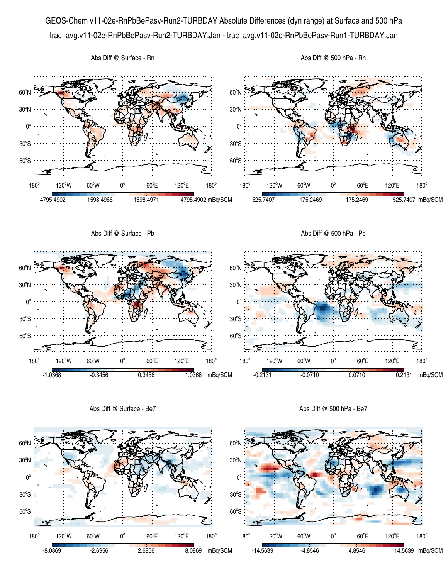GEOS-Chem v11-02e-RnPbBePasv-Run2-TURBDAY Absolute Differences (dyn range) at Surface and 500 hPa trac\_avg.v11-02e-RnPbBePasv-Run2-TURBDAY.Jan - trac\_avg.v11-02e-RnPbBePasv-Run1-TURBDAY.Jan



Abs Diff @ Surface - Be7

Abs Diff @ 500 hPa - Be7